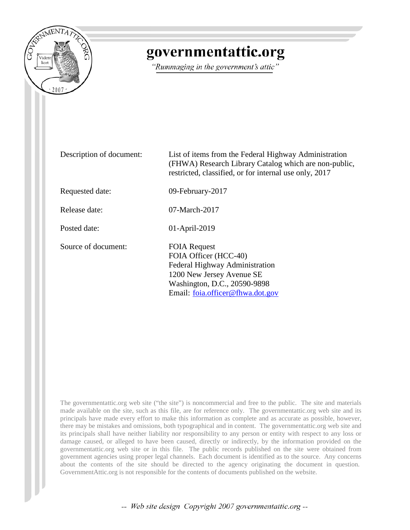

## governmentattic.org

"Rummaging in the government's attic"

Description of document: List of items from the Federal Highway Administration (FHWA) Research Library Catalog which are non-public, restricted, classified, or for internal use only, 2017 Requested date: 09-February-2017 Release date: 07-March-2017 Posted date: 01-April-2019 Source of document: FOIA Request FOIA Officer (HCC-40) Federal Highway Administration 1200 New Jersey Avenue SE Washington, D.C., 20590-9898 Email: [foia.officer@fhwa.dot.gov](mailto:foia.officer@fhwa.dot.gov?subject=FOIA%20Request)

The governmentattic.org web site ("the site") is noncommercial and free to the public. The site and materials made available on the site, such as this file, are for reference only. The governmentattic.org web site and its principals have made every effort to make this information as complete and as accurate as possible, however, there may be mistakes and omissions, both typographical and in content. The governmentattic.org web site and its principals shall have neither liability nor responsibility to any person or entity with respect to any loss or damage caused, or alleged to have been caused, directly or indirectly, by the information provided on the governmentattic.org web site or in this file. The public records published on the site were obtained from government agencies using proper legal channels. Each document is identified as to the source. Any concerns about the contents of the site should be directed to the agency originating the document in question. GovernmentAttic.org is not responsible for the contents of documents published on the website.

-- Web site design Copyright 2007 governmentattic.org --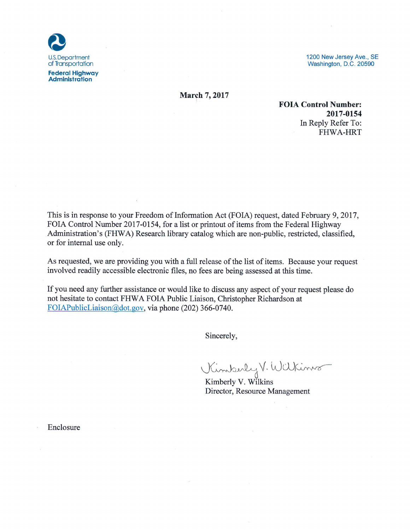

1200 New Jersey Ave., SE Washington, D.C. 20590

**March 7, 2017** 

**FOIA Control Number:** 2017-0154 In Reply Refer To: **FHWA-HRT** 

This is in response to your Freedom of Information Act (FOIA) request, dated February 9, 2017, FOIA Control Number 2017-0154, for a list or printout of items from the Federal Highway Administration's (FHWA) Research library catalog which are non-public, restricted, classified, or for internal use only.

As requested, we are providing you with a full release of the list of items. Because your request involved readily accessible electronic files, no fees are being assessed at this time.

If you need any further assistance or would like to discuss any aspect of your request please do not hesitate to contact FHWA FOIA Public Liaison, Christopher Richardson at FOIAPublicLiaison@dot.gov, via phone (202) 366-0740.

Sincerely,

Kimberly V. Wilkins

Kimberly V. Wilkins Director, Resource Management

Enclosure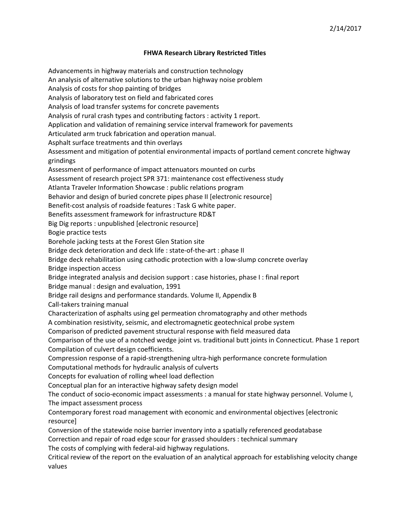## **FHWA Research Library Restricted Titles**

Advancements in highway materials and construction technology An analysis of alternative solutions to the urban highway noise problem Analysis of costs for shop painting of bridges Analysis of laboratory test on field and fabricated cores Analysis of load transfer systems for concrete pavements Analysis of rural crash types and contributing factors : activity 1 report. Application and validation of remaining service interval framework for pavements Articulated arm truck fabrication and operation manual. Asphalt surface treatments and thin overlays Assessment and mitigation of potential environmental impacts of portland cement concrete highway grindings Assessment of performance of impact attenuators mounted on curbs Assessment of research project SPR 371: maintenance cost effectiveness study Atlanta Traveler Information Showcase : public relations program Behavior and design of buried concrete pipes phase II [electronic resource] Benefit‐cost analysis of roadside features : Task G white paper. Benefits assessment framework for infrastructure RD&T Big Dig reports : unpublished [electronic resource] Bogie practice tests Borehole jacking tests at the Forest Glen Station site Bridge deck deterioration and deck life : state‐of‐the‐art : phase II Bridge deck rehabilitation using cathodic protection with a low‐slump concrete overlay Bridge inspection access Bridge integrated analysis and decision support : case histories, phase I : final report Bridge manual : design and evaluation, 1991 Bridge rail designs and performance standards. Volume II, Appendix B Call‐takers training manual Characterization of asphalts using gel permeation chromatography and other methods A combination resistivity, seismic, and electromagnetic geotechnical probe system Comparison of predicted pavement structural response with field measured data Comparison of the use of a notched wedge joint vs. traditional butt joints in Connecticut. Phase 1 report Compilation of culvert design coefficients. Compression response of a rapid‐strengthening ultra‐high performance concrete formulation Computational methods for hydraulic analysis of culverts Concepts for evaluation of rolling wheel load deflection Conceptual plan for an interactive highway safety design model The conduct of socio-economic impact assessments : a manual for state highway personnel. Volume I, The impact assessment process Contemporary forest road management with economic and environmental objectives [electronic resource] Conversion of the statewide noise barrier inventory into a spatially referenced geodatabase Correction and repair of road edge scour for grassed shoulders : technical summary The costs of complying with federal‐aid highway regulations. Critical review of the report on the evaluation of an analytical approach for establishing velocity change

values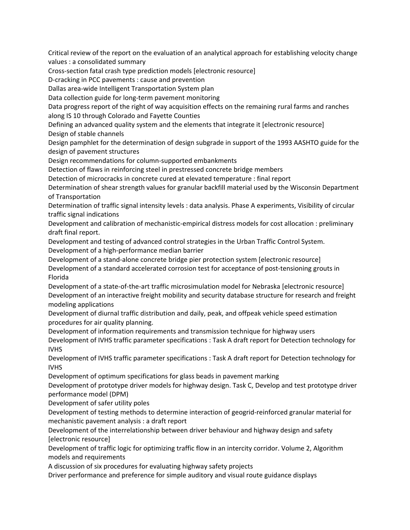Critical review of the report on the evaluation of an analytical approach for establishing velocity change values : a consolidated summary

Cross‐section fatal crash type prediction models [electronic resource]

D‐cracking in PCC pavements : cause and prevention

Dallas area‐wide Intelligent Transportation System plan

Data collection guide for long‐term pavement monitoring

Data progress report of the right of way acquisition effects on the remaining rural farms and ranches along IS 10 through Colorado and Fayette Counties

Defining an advanced quality system and the elements that integrate it [electronic resource] Design of stable channels

Design pamphlet for the determination of design subgrade in support of the 1993 AASHTO guide for the design of pavement structures

Design recommendations for column‐supported embankments

Detection of flaws in reinforcing steel in prestressed concrete bridge members

Detection of microcracks in concrete cured at elevated temperature : final report

Determination of shear strength values for granular backfill material used by the Wisconsin Department of Transportation

Determination of traffic signal intensity levels : data analysis. Phase A experiments, Visibility of circular traffic signal indications

Development and calibration of mechanistic-empirical distress models for cost allocation : preliminary draft final report.

Development and testing of advanced control strategies in the Urban Traffic Control System. Development of a high‐performance median barrier

Development of a stand‐alone concrete bridge pier protection system [electronic resource]

Development of a standard accelerated corrosion test for acceptance of post-tensioning grouts in Florida

Development of a state-of-the-art traffic microsimulation model for Nebraska [electronic resource] Development of an interactive freight mobility and security database structure for research and freight modeling applications

Development of diurnal traffic distribution and daily, peak, and offpeak vehicle speed estimation procedures for air quality planning.

Development of information requirements and transmission technique for highway users

Development of IVHS traffic parameter specifications : Task A draft report for Detection technology for IVHS

Development of IVHS traffic parameter specifications : Task A draft report for Detection technology for IVHS

Development of optimum specifications for glass beads in pavement marking

Development of prototype driver models for highway design. Task C, Develop and test prototype driver performance model (DPM)

Development of safer utility poles

Development of testing methods to determine interaction of geogrid‐reinforced granular material for mechanistic pavement analysis : a draft report

Development of the interrelationship between driver behaviour and highway design and safety [electronic resource]

Development of traffic logic for optimizing traffic flow in an intercity corridor. Volume 2, Algorithm models and requirements

A discussion of six procedures for evaluating highway safety projects

Driver performance and preference for simple auditory and visual route guidance displays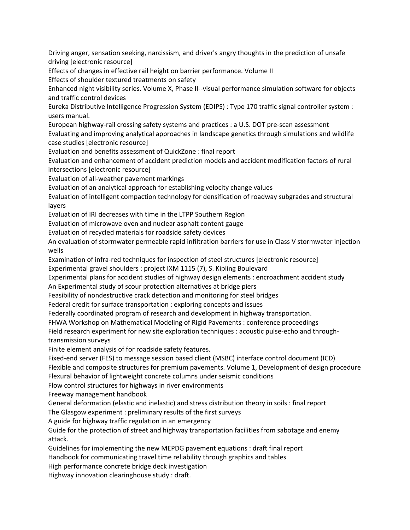Driving anger, sensation seeking, narcissism, and driver's angry thoughts in the prediction of unsafe driving [electronic resource]

Effects of changes in effective rail height on barrier performance. Volume II

Effects of shoulder textured treatments on safety

Enhanced night visibility series. Volume X, Phase II‐‐visual performance simulation software for objects and traffic control devices

Eureka Distributive Intelligence Progression System (EDIPS) : Type 170 traffic signal controller system : users manual.

European highway-rail crossing safety systems and practices : a U.S. DOT pre-scan assessment

Evaluating and improving analytical approaches in landscape genetics through simulations and wildlife case studies [electronic resource]

Evaluation and benefits assessment of QuickZone : final report

Evaluation and enhancement of accident prediction models and accident modification factors of rural intersections [electronic resource]

Evaluation of all‐weather pavement markings

Evaluation of an analytical approach for establishing velocity change values

Evaluation of intelligent compaction technology for densification of roadway subgrades and structural layers

Evaluation of IRI decreases with time in the LTPP Southern Region

Evaluation of microwave oven and nuclear asphalt content gauge

Evaluation of recycled materials for roadside safety devices

An evaluation of stormwater permeable rapid infiltration barriers for use in Class V stormwater injection wells

Examination of infra‐red techniques for inspection of steel structures [electronic resource]

Experimental gravel shoulders : project IXM 1115 (7), S. Kipling Boulevard

Experimental plans for accident studies of highway design elements : encroachment accident study An Experimental study of scour protection alternatives at bridge piers

Feasibility of nondestructive crack detection and monitoring for steel bridges

Federal credit for surface transportation : exploring concepts and issues

Federally coordinated program of research and development in highway transportation.

FHWA Workshop on Mathematical Modeling of Rigid Pavements : conference proceedings

Field research experiment for new site exploration techniques : acoustic pulse-echo and throughtransmission surveys

Finite element analysis of for roadside safety features.

Fixed‐end server (FES) to message session based client (MSBC) interface control document (ICD)

Flexible and composite structures for premium pavements. Volume 1, Development of design procedure Flexural behavior of lightweight concrete columns under seismic conditions

Flow control structures for highways in river environments

Freeway management handbook

General deformation (elastic and inelastic) and stress distribution theory in soils : final report

The Glasgow experiment : preliminary results of the first surveys

A guide for highway traffic regulation in an emergency

Guide for the protection of street and highway transportation facilities from sabotage and enemy attack.

Guidelines for implementing the new MEPDG pavement equations : draft final report

Handbook for communicating travel time reliability through graphics and tables

High performance concrete bridge deck investigation

Highway innovation clearinghouse study : draft.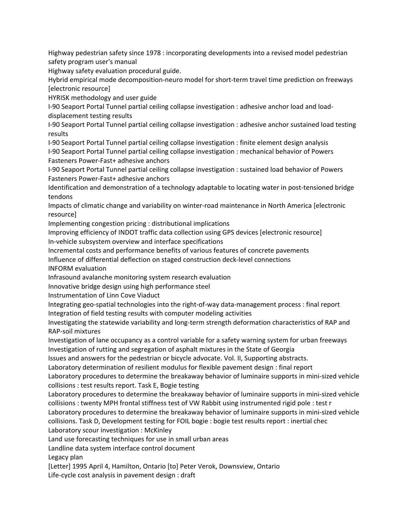Highway pedestrian safety since 1978 : incorporating developments into a revised model pedestrian safety program user's manual

Highway safety evaluation procedural guide.

Hybrid empirical mode decomposition‐neuro model for short‐term travel time prediction on freeways [electronic resource]

HYRISK methodology and user guide

I‐90 Seaport Portal Tunnel partial ceiling collapse investigation : adhesive anchor load and load‐ displacement testing results

I‐90 Seaport Portal Tunnel partial ceiling collapse investigation : adhesive anchor sustained load testing results

I‐90 Seaport Portal Tunnel partial ceiling collapse investigation : finite element design analysis I‐90 Seaport Portal Tunnel partial ceiling collapse investigation : mechanical behavior of Powers

Fasteners Power‐Fast+ adhesive anchors

I‐90 Seaport Portal Tunnel partial ceiling collapse investigation : sustained load behavior of Powers Fasteners Power‐Fast+ adhesive anchors

Identification and demonstration of a technology adaptable to locating water in post-tensioned bridge tendons

Impacts of climatic change and variability on winter‐road maintenance in North America [electronic resource]

Implementing congestion pricing : distributional implications

Improving efficiency of INDOT traffic data collection using GPS devices [electronic resource] In‐vehicle subsystem overview and interface specifications

Incremental costs and performance benefits of various features of concrete pavements

Influence of differential deflection on staged construction deck‐level connections

INFORM evaluation

Infrasound avalanche monitoring system research evaluation

Innovative bridge design using high performance steel

Instrumentation of Linn Cove Viaduct

Integrating geo‐spatial technologies into the right‐of‐way data‐management process : final report Integration of field testing results with computer modeling activities

Investigating the statewide variability and long‐term strength deformation characteristics of RAP and RAP‐soil mixtures

Investigation of lane occupancy as a control variable for a safety warning system for urban freeways Investigation of rutting and segregation of asphalt mixtures in the State of Georgia

Issues and answers for the pedestrian or bicycle advocate. Vol. II, Supporting abstracts.

Laboratory determination of resilient modulus for flexible pavement design : final report

Laboratory procedures to determine the breakaway behavior of luminaire supports in mini-sized vehicle collisions : test results report. Task E, Bogie testing

Laboratory procedures to determine the breakaway behavior of luminaire supports in mini-sized vehicle collisions : twenty MPH frontal stiffness test of VW Rabbit using instrumented rigid pole : test r

Laboratory procedures to determine the breakaway behavior of luminaire supports in mini-sized vehicle collisions. Task D, Development testing for FOIL bogie : bogie test results report : inertial chec

Laboratory scour investigation : McKinley

Land use forecasting techniques for use in small urban areas

Landline data system interface control document

Legacy plan

[Letter] 1995 April 4, Hamilton, Ontario [to] Peter Verok, Downsview, Ontario

Life-cycle cost analysis in pavement design : draft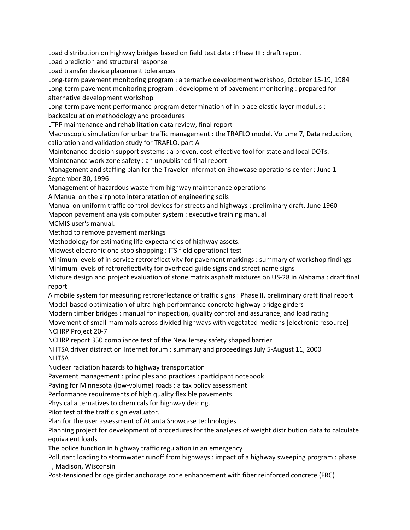Load distribution on highway bridges based on field test data : Phase III : draft report

Load prediction and structural response

Load transfer device placement tolerances

Long‐term pavement monitoring program : alternative development workshop, October 15‐19, 1984 Long-term pavement monitoring program : development of pavement monitoring : prepared for alternative development workshop

Long-term pavement performance program determination of in-place elastic layer modulus : backcalculation methodology and procedures

LTPP maintenance and rehabilitation data review, final report

Macroscopic simulation for urban traffic management : the TRAFLO model. Volume 7, Data reduction, calibration and validation study for TRAFLO, part A

Maintenance decision support systems : a proven, cost-effective tool for state and local DOTs. Maintenance work zone safety : an unpublished final report

Management and staffing plan for the Traveler Information Showcase operations center : June 1-September 30, 1996

Management of hazardous waste from highway maintenance operations

A Manual on the airphoto interpretation of engineering soils

Manual on uniform traffic control devices for streets and highways : preliminary draft, June 1960 Mapcon pavement analysis computer system : executive training manual

MCMIS user's manual.

Method to remove pavement markings

Methodology for estimating life expectancies of highway assets.

Midwest electronic one‐stop shopping : ITS field operational test

Minimum levels of in‐service retroreflectivity for pavement markings : summary of workshop findings Minimum levels of retroreflectivity for overhead guide signs and street name signs

Mixture design and project evaluation of stone matrix asphalt mixtures on US‐28 in Alabama : draft final report

A mobile system for measuring retroreflectance of traffic signs : Phase II, preliminary draft final report Model-based optimization of ultra high performance concrete highway bridge girders

Modern timber bridges : manual for inspection, quality control and assurance, and load rating Movement of small mammals across divided highways with vegetated medians [electronic resource] NCHRP Project 20‐7

NCHRP report 350 compliance test of the New Jersey safety shaped barrier

NHTSA driver distraction Internet forum : summary and proceedings July 5‐August 11, 2000 NHTSA

Nuclear radiation hazards to highway transportation

Pavement management : principles and practices : participant notebook

Paying for Minnesota (low‐volume) roads : a tax policy assessment

Performance requirements of high quality flexible pavements

Physical alternatives to chemicals for highway deicing.

Pilot test of the traffic sign evaluator.

Plan for the user assessment of Atlanta Showcase technologies

Planning project for development of procedures for the analyses of weight distribution data to calculate equivalent loads

The police function in highway traffic regulation in an emergency

Pollutant loading to stormwater runoff from highways : impact of a highway sweeping program : phase II, Madison, Wisconsin

Post-tensioned bridge girder anchorage zone enhancement with fiber reinforced concrete (FRC)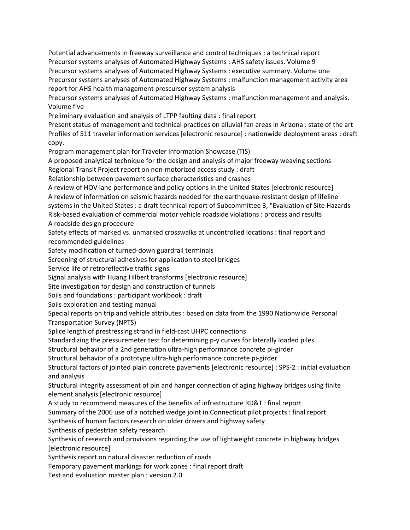Potential advancements in freeway surveillance and control techniques : a technical report Precursor systems analyses of Automated Highway Systems : AHS safety issues. Volume 9 Precursor systems analyses of Automated Highway Systems : executive summary. Volume one Precursor systems analyses of Automated Highway Systems : malfunction management activity area report for AHS health management prescursor system analysis

Precursor systems analyses of Automated Highway Systems : malfunction management and analysis. Volume five

Preliminary evaluation and analysis of LTPP faulting data : final report

Present status of management and technical practices on alluvial fan areas in Arizona : state of the art Profiles of 511 traveler information services [electronic resource] : nationwide deployment areas : draft copy.

Program management plan for Traveler Information Showcase (TIS)

A proposed analytical technique for the design and analysis of major freeway weaving sections Regional Transit Project report on non‐motorized access study : draft

Relationship between pavement surface characteristics and crashes

A review of HOV lane performance and policy options in the United States [electronic resource] A review of information on seismic hazards needed for the earthquake‐resistant design of lifeline systems in the United States : a draft technical report of Subcommittee 3, "Evaluation of Site Hazards Risk‐based evaluation of commercial motor vehicle roadside violations : process and results A roadside design procedure

Safety effects of marked vs. unmarked crosswalks at uncontrolled locations : final report and recommended guidelines

Safety modification of turned‐down guardrail terminals

Screening of structural adhesives for application to steel bridges

Service life of retroreflective traffic signs

Signal analysis with Huang Hilbert transforms [electronic resource]

Site investigation for design and construction of tunnels

Soils and foundations : participant workbook : draft

Soils exploration and testing manual

Special reports on trip and vehicle attributes : based on data from the 1990 Nationwide Personal Transportation Survey (NPTS)

Splice length of prestressing strand in field‐cast UHPC connections

Standardizing the pressuremeter test for determining p‐y curves for laterally loaded piles

Structural behavior of a 2nd generation ultra‐high performance concrete pi‐girder

Structural behavior of a prototype ultra‐high performance concrete pi‐girder

Structural factors of jointed plain concrete pavements [electronic resource] : SPS‐2 : initial evaluation and analysis

Structural integrity assessment of pin and hanger connection of aging highway bridges using finite element analysis [electronic resource]

A study to recommend measures of the benefits of infrastructure RD&T : final report

Summary of the 2006 use of a notched wedge joint in Connecticut pilot projects : final report

Synthesis of human factors research on older drivers and highway safety

Synthesis of pedestrian safety research

Synthesis of research and provisions regarding the use of lightweight concrete in highway bridges [electronic resource]

Synthesis report on natural disaster reduction of roads

Temporary pavement markings for work zones : final report draft

Test and evaluation master plan : version 2.0